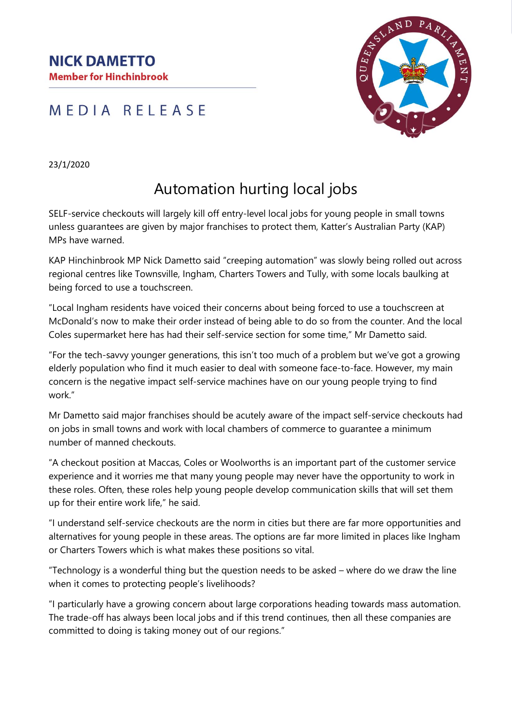**NICK DAMETTO Member for Hinchinbrook** 

## MEDIA RELEASE



23/1/2020

## Automation hurting local jobs

SELF-service checkouts will largely kill off entry-level local jobs for young people in small towns unless guarantees are given by major franchises to protect them, Katter's Australian Party (KAP) MPs have warned.

KAP Hinchinbrook MP Nick Dametto said "creeping automation" was slowly being rolled out across regional centres like Townsville, Ingham, Charters Towers and Tully, with some locals baulking at being forced to use a touchscreen.

"Local Ingham residents have voiced their concerns about being forced to use a touchscreen at McDonald's now to make their order instead of being able to do so from the counter. And the local Coles supermarket here has had their self-service section for some time," Mr Dametto said.

"For the tech-savvy younger generations, this isn't too much of a problem but we've got a growing elderly population who find it much easier to deal with someone face-to-face. However, my main concern is the negative impact self-service machines have on our young people trying to find work."

Mr Dametto said major franchises should be acutely aware of the impact self-service checkouts had on jobs in small towns and work with local chambers of commerce to guarantee a minimum number of manned checkouts.

"A checkout position at Maccas, Coles or Woolworths is an important part of the customer service experience and it worries me that many young people may never have the opportunity to work in these roles. Often, these roles help young people develop communication skills that will set them up for their entire work life," he said.

"I understand self-service checkouts are the norm in cities but there are far more opportunities and alternatives for young people in these areas. The options are far more limited in places like Ingham or Charters Towers which is what makes these positions so vital.

"Technology is a wonderful thing but the question needs to be asked – where do we draw the line when it comes to protecting people's livelihoods?

"I particularly have a growing concern about large corporations heading towards mass automation. The trade-off has always been local jobs and if this trend continues, then all these companies are committed to doing is taking money out of our regions."